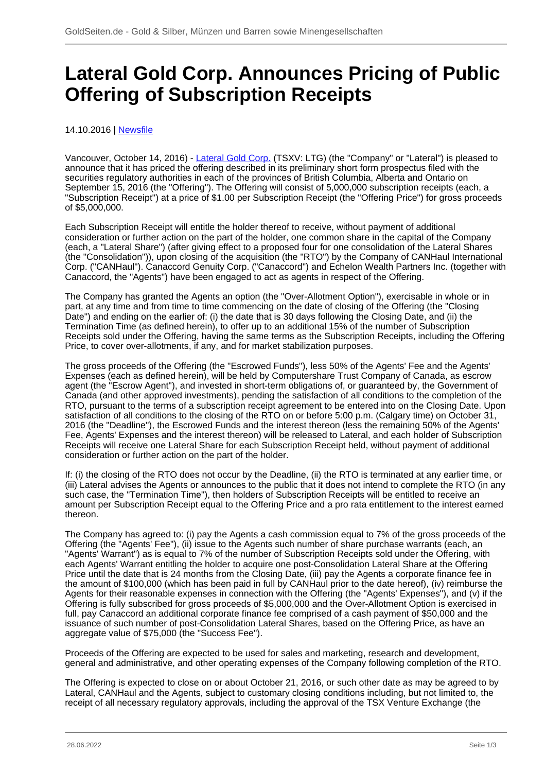# **Lateral Gold Corp. Announces Pricing of Public Offering of Subscription Receipts**

14.10.2016 | [Newsfile](/profil/273--Newsfile)

Vancouver, October 14, 2016) - [Lateral Gold Corp.](/minen/3176--Lateral-Gold-Corp) (TSXV: LTG) (the "Company" or "Lateral") is pleased to announce that it has priced the offering described in its preliminary short form prospectus filed with the securities regulatory authorities in each of the provinces of British Columbia, Alberta and Ontario on September 15, 2016 (the "Offering"). The Offering will consist of 5,000,000 subscription receipts (each, a "Subscription Receipt") at a price of \$1.00 per Subscription Receipt (the "Offering Price") for gross proceeds of \$5,000,000.

Each Subscription Receipt will entitle the holder thereof to receive, without payment of additional consideration or further action on the part of the holder, one common share in the capital of the Company (each, a "Lateral Share") (after giving effect to a proposed four for one consolidation of the Lateral Shares (the "Consolidation")), upon closing of the acquisition (the "RTO") by the Company of CANHaul International Corp. ("CANHaul"). Canaccord Genuity Corp. ("Canaccord") and Echelon Wealth Partners Inc. (together with Canaccord, the "Agents") have been engaged to act as agents in respect of the Offering.

The Company has granted the Agents an option (the "Over-Allotment Option"), exercisable in whole or in part, at any time and from time to time commencing on the date of closing of the Offering (the "Closing Date") and ending on the earlier of: (i) the date that is 30 days following the Closing Date, and (ii) the Termination Time (as defined herein), to offer up to an additional 15% of the number of Subscription Receipts sold under the Offering, having the same terms as the Subscription Receipts, including the Offering Price, to cover over-allotments, if any, and for market stabilization purposes.

The gross proceeds of the Offering (the "Escrowed Funds"), less 50% of the Agents' Fee and the Agents' Expenses (each as defined herein), will be held by Computershare Trust Company of Canada, as escrow agent (the "Escrow Agent"), and invested in short-term obligations of, or guaranteed by, the Government of Canada (and other approved investments), pending the satisfaction of all conditions to the completion of the RTO, pursuant to the terms of a subscription receipt agreement to be entered into on the Closing Date. Upon satisfaction of all conditions to the closing of the RTO on or before 5:00 p.m. (Calgary time) on October 31, 2016 (the "Deadline"), the Escrowed Funds and the interest thereon (less the remaining 50% of the Agents' Fee, Agents' Expenses and the interest thereon) will be released to Lateral, and each holder of Subscription Receipts will receive one Lateral Share for each Subscription Receipt held, without payment of additional consideration or further action on the part of the holder.

If: (i) the closing of the RTO does not occur by the Deadline, (ii) the RTO is terminated at any earlier time, or (iii) Lateral advises the Agents or announces to the public that it does not intend to complete the RTO (in any such case, the "Termination Time"), then holders of Subscription Receipts will be entitled to receive an amount per Subscription Receipt equal to the Offering Price and a pro rata entitlement to the interest earned thereon.

The Company has agreed to: (i) pay the Agents a cash commission equal to 7% of the gross proceeds of the Offering (the "Agents' Fee"), (ii) issue to the Agents such number of share purchase warrants (each, an "Agents' Warrant") as is equal to 7% of the number of Subscription Receipts sold under the Offering, with each Agents' Warrant entitling the holder to acquire one post-Consolidation Lateral Share at the Offering Price until the date that is 24 months from the Closing Date, (iii) pay the Agents a corporate finance fee in the amount of \$100,000 (which has been paid in full by CANHaul prior to the date hereof), (iv) reimburse the Agents for their reasonable expenses in connection with the Offering (the "Agents' Expenses"), and (v) if the Offering is fully subscribed for gross proceeds of \$5,000,000 and the Over-Allotment Option is exercised in full, pay Canaccord an additional corporate finance fee comprised of a cash payment of \$50,000 and the issuance of such number of post-Consolidation Lateral Shares, based on the Offering Price, as have an aggregate value of \$75,000 (the "Success Fee").

Proceeds of the Offering are expected to be used for sales and marketing, research and development, general and administrative, and other operating expenses of the Company following completion of the RTO.

The Offering is expected to close on or about October 21, 2016, or such other date as may be agreed to by Lateral, CANHaul and the Agents, subject to customary closing conditions including, but not limited to, the receipt of all necessary regulatory approvals, including the approval of the TSX Venture Exchange (the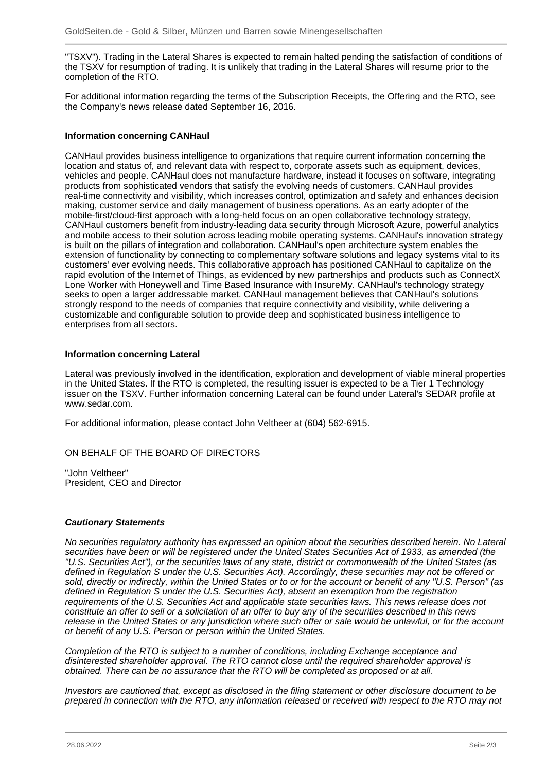"TSXV"). Trading in the Lateral Shares is expected to remain halted pending the satisfaction of conditions of the TSXV for resumption of trading. It is unlikely that trading in the Lateral Shares will resume prior to the completion of the RTO.

For additional information regarding the terms of the Subscription Receipts, the Offering and the RTO, see the Company's news release dated September 16, 2016.

## **Information concerning CANHaul**

CANHaul provides business intelligence to organizations that require current information concerning the location and status of, and relevant data with respect to, corporate assets such as equipment, devices, vehicles and people. CANHaul does not manufacture hardware, instead it focuses on software, integrating products from sophisticated vendors that satisfy the evolving needs of customers. CANHaul provides real-time connectivity and visibility, which increases control, optimization and safety and enhances decision making, customer service and daily management of business operations. As an early adopter of the mobile-first/cloud-first approach with a long-held focus on an open collaborative technology strategy, CANHaul customers benefit from industry-leading data security through Microsoft Azure, powerful analytics and mobile access to their solution across leading mobile operating systems. CANHaul's innovation strategy is built on the pillars of integration and collaboration. CANHaul's open architecture system enables the extension of functionality by connecting to complementary software solutions and legacy systems vital to its customers' ever evolving needs. This collaborative approach has positioned CANHaul to capitalize on the rapid evolution of the Internet of Things, as evidenced by new partnerships and products such as ConnectX Lone Worker with Honeywell and Time Based Insurance with InsureMy. CANHaul's technology strategy seeks to open a larger addressable market. CANHaul management believes that CANHaul's solutions strongly respond to the needs of companies that require connectivity and visibility, while delivering a customizable and configurable solution to provide deep and sophisticated business intelligence to enterprises from all sectors.

### **Information concerning Lateral**

Lateral was previously involved in the identification, exploration and development of viable mineral properties in the United States. If the RTO is completed, the resulting issuer is expected to be a Tier 1 Technology issuer on the TSXV. Further information concerning Lateral can be found under Lateral's SEDAR profile at www.sedar.com.

For additional information, please contact John Veltheer at (604) 562-6915.

ON BEHALF OF THE BOARD OF DIRECTORS

"John Veltheer" President, CEO and Director

### **Cautionary Statements**

No securities regulatory authority has expressed an opinion about the securities described herein. No Lateral securities have been or will be registered under the United States Securities Act of 1933, as amended (the "U.S. Securities Act"), or the securities laws of any state, district or commonwealth of the United States (as defined in Regulation S under the U.S. Securities Act). Accordingly, these securities may not be offered or sold, directly or indirectly, within the United States or to or for the account or benefit of any "U.S. Person" (as defined in Regulation S under the U.S. Securities Act), absent an exemption from the registration requirements of the U.S. Securities Act and applicable state securities laws. This news release does not constitute an offer to sell or a solicitation of an offer to buy any of the securities described in this news release in the United States or any jurisdiction where such offer or sale would be unlawful, or for the account or benefit of any U.S. Person or person within the United States.

Completion of the RTO is subject to a number of conditions, including Exchange acceptance and disinterested shareholder approval. The RTO cannot close until the required shareholder approval is obtained. There can be no assurance that the RTO will be completed as proposed or at all.

Investors are cautioned that, except as disclosed in the filing statement or other disclosure document to be prepared in connection with the RTO, any information released or received with respect to the RTO may not